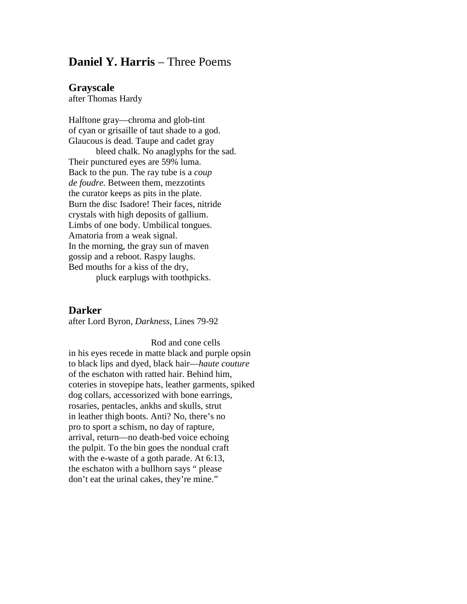## **Daniel Y. Harris – Three Poems**

## **Grayscale**

after Thomas Hardy

Halftone gray—chroma and glob-tint of cyan or grisaille of taut shade to a god. Glaucous is dead. Taupe and cadet gray

bleed chalk. No anaglyphs for the sad. Their punctured eyes are 59% luma. Back to the pun. The ray tube is a *coup de foudre.* Between them, mezzotints the curator keeps as pits in the plate. Burn the disc Isadore! Their faces, nitride crystals with high deposits of gallium. Limbs of one body. Umbilical tongues. Amatoria from a weak signal. In the morning, the gray sun of maven gossip and a reboot. Raspy laughs. Bed mouths for a kiss of the dry,

pluck earplugs with toothpicks.

## **Darker**

after Lord Byron, *Darkness*, Lines 79-92

Rod and cone cells in his eyes recede in matte black and purple opsin to black lips and dyed, black hair—*haute couture* of the eschaton with ratted hair. Behind him, coteries in stovepipe hats, leather garments, spiked dog collars, accessorized with bone earrings, rosaries, pentacles, ankhs and skulls, strut in leather thigh boots. Anti? No, there's no pro to sport a schism, no day of rapture, arrival, return—no death-bed voice echoing the pulpit. To the bin goes the nondual craft with the e-waste of a goth parade. At 6:13, the eschaton with a bullhorn says " please don't eat the urinal cakes, they're mine."